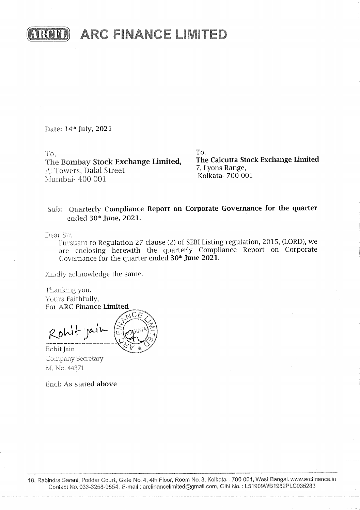

**ARC FINANCE LIMITED** 

Date: 14<sup>th</sup> July, 2021

To,

The Bombay Stock Exchange Limited, PJ Towers, Dalal Street Mumbai- 400 001

To. The Calcutta Stock Exchange Limited 7, Lyons Range, Kolkata- 700 001

## Sub: Quarterly Compliance Report on Corporate Governance for the quarter ended 30th June, 2021.

Dear Sir,

Pursuant to Regulation 27 clause (2) of SEBI Listing regulation, 2015, (LORD), we are enclosing herewith the quarterly Compliance Report on Corporate Governance for the quarter ended 30<sup>th</sup> June 2021.

Kindly acknowledge the same.

Thanking you. Yours Faithfully, For ARC Finance Limited

Rohit ja

Rohit Jain Company Secretary M. No. 44371

**Encl: As stated above**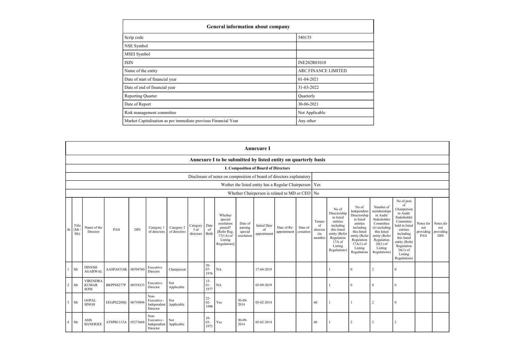| General information about company                              |                     |  |  |  |  |  |  |
|----------------------------------------------------------------|---------------------|--|--|--|--|--|--|
| Scrip code                                                     | 540135              |  |  |  |  |  |  |
| NSE Symbol                                                     |                     |  |  |  |  |  |  |
| MSEI Symbol                                                    |                     |  |  |  |  |  |  |
| <b>ISIN</b>                                                    | INE202R01018        |  |  |  |  |  |  |
| Name of the entity                                             | ARC FINANCE LIMITED |  |  |  |  |  |  |
| Date of start of financial year                                | $01 - 04 - 2021$    |  |  |  |  |  |  |
| Date of end of financial year                                  | 31-03-2022          |  |  |  |  |  |  |
| <b>Reporting Quarter</b>                                       | Quarterly           |  |  |  |  |  |  |
| Date of Report                                                 | 30-06-2021          |  |  |  |  |  |  |
| Risk management committee                                      | Not Applicable      |  |  |  |  |  |  |
| Market Capitalisation as per immediate previous Financial Year | Any other           |  |  |  |  |  |  |

|                |                                                                |                                         |                     |            |                                                           |                            |                               |                          |                                                                                                     |                                             | <b>Annexure I</b>                        |                                                    |         |                                            |                                                                                                                                                  |                                                                                                                                                                   |                                                                                                                                                                           |                                                                                                                                                                                                            |                                      |                                             |
|----------------|----------------------------------------------------------------|-----------------------------------------|---------------------|------------|-----------------------------------------------------------|----------------------------|-------------------------------|--------------------------|-----------------------------------------------------------------------------------------------------|---------------------------------------------|------------------------------------------|----------------------------------------------------|---------|--------------------------------------------|--------------------------------------------------------------------------------------------------------------------------------------------------|-------------------------------------------------------------------------------------------------------------------------------------------------------------------|---------------------------------------------------------------------------------------------------------------------------------------------------------------------------|------------------------------------------------------------------------------------------------------------------------------------------------------------------------------------------------------------|--------------------------------------|---------------------------------------------|
|                | Annexure I to be submitted by listed entity on quarterly basis |                                         |                     |            |                                                           |                            |                               |                          |                                                                                                     |                                             |                                          |                                                    |         |                                            |                                                                                                                                                  |                                                                                                                                                                   |                                                                                                                                                                           |                                                                                                                                                                                                            |                                      |                                             |
|                | <b>I. Composition of Board of Directors</b>                    |                                         |                     |            |                                                           |                            |                               |                          |                                                                                                     |                                             |                                          |                                                    |         |                                            |                                                                                                                                                  |                                                                                                                                                                   |                                                                                                                                                                           |                                                                                                                                                                                                            |                                      |                                             |
|                |                                                                |                                         |                     |            |                                                           |                            |                               |                          | Disclosure of notes on composition of board of directors explanatory                                |                                             |                                          |                                                    |         |                                            |                                                                                                                                                  |                                                                                                                                                                   |                                                                                                                                                                           |                                                                                                                                                                                                            |                                      |                                             |
|                |                                                                |                                         |                     |            |                                                           |                            |                               |                          |                                                                                                     |                                             |                                          | Wether the listed entity has a Regular Chairperson |         | Yes                                        |                                                                                                                                                  |                                                                                                                                                                   |                                                                                                                                                                           |                                                                                                                                                                                                            |                                      |                                             |
|                |                                                                |                                         |                     |            |                                                           |                            |                               |                          |                                                                                                     |                                             |                                          | Whether Chairperson is related to MD or CEO   No   |         |                                            |                                                                                                                                                  |                                                                                                                                                                   |                                                                                                                                                                           |                                                                                                                                                                                                            |                                      |                                             |
| Sr             | Title<br>(Mr)<br>Ms)                                           | Name of the<br>Director                 | PAN                 | <b>DIN</b> | Category 1<br>of directors                                | Category 2<br>of directors | Category<br>3 of<br>directors | Date<br>of<br>Birth      | Whether<br>special<br>resolution<br>passed?<br>Refer Reg.<br>$17(1A)$ of<br>Listing<br>Regulations] | Date of<br>passing<br>special<br>resolution | <b>Initial Date</b><br>of<br>appointment | Date of Re-<br>appointment cessation               | Date of | Tenure<br>of<br>director<br>(in<br>months) | No of<br>Directorship<br>in listed<br>entities<br>including<br>this listed<br>entity (Refer<br>Regulation<br>$17A$ of<br>Listing<br>Regulations) | No of<br>Independent<br>Directorship<br>in listed<br>entities<br>including<br>this listed<br>entity (Refer<br>Regulation<br>$17A(1)$ of<br>Listing<br>Regulations | Number of<br>memberships<br>in Audit/<br>Stakeholder<br>Committee<br>(s) including<br>this listed<br>entity (Refer<br>Regulation<br>$26(1)$ of<br>Listing<br>Regulations) | No of post<br>of<br>Chairperson<br>in Audit/<br>Stakeholder<br>Committee<br>held in listed<br>entities<br>including<br>this listed<br>entity (Refer<br>Regulation<br>$26(1)$ of<br>Listing<br>Regulations) | Notes for<br>not<br>providing<br>PAN | Notes for<br>not<br>providing<br><b>DIN</b> |
| $\overline{1}$ | Mr                                                             | <b>DINESH</b><br><b>AGARWAL</b>         | AASPA0316K          | 08394760   | Executive<br>Director                                     | Chairperson                |                               | $20 -$<br>$07 -$<br>1976 | NA                                                                                                  |                                             | 17-04-2019                               |                                                    |         |                                            | $\mathbf{1}$                                                                                                                                     | $\mathbf{0}$                                                                                                                                                      | $\overline{2}$                                                                                                                                                            | $\theta$                                                                                                                                                                                                   |                                      |                                             |
| $\overline{2}$ | Mr                                                             | <b>VIRENDRA</b><br><b>KUMAR</b><br>SONI | BKPPS8277P          | 08554333   | Executive<br>Director                                     | Not<br>Applicable          |                               | $15 -$<br>$01-$<br>1977  | NA                                                                                                  |                                             | 05-09-2019                               |                                                    |         |                                            |                                                                                                                                                  | $\Omega$                                                                                                                                                          | $\Omega$                                                                                                                                                                  | $\Omega$                                                                                                                                                                                                   |                                      |                                             |
| $\overline{3}$ | Mr                                                             | <b>GOPAL</b><br><b>SINGH</b>            | EEGPS2288Q          | 06739896   | Non-<br>Executive -<br>Independent<br>Director            | Not<br>Applicable          |                               | $22 -$<br>$02 -$<br>1990 | Yes                                                                                                 | $30-09$<br>2014                             | 05-02-2014                               |                                                    |         | 60                                         |                                                                                                                                                  |                                                                                                                                                                   | $\overline{2}$                                                                                                                                                            | $\Omega$                                                                                                                                                                                                   |                                      |                                             |
| $\overline{4}$ | Mr                                                             | ASIS<br><b>BANERJEE</b>                 | ATSPB1115A 05273668 |            | Non-<br>Executive -<br>Independent Applicable<br>Director | Not                        |                               | $10-$<br>$03 -$<br>1973  | Yes                                                                                                 | $30-09-$<br>2014                            | 05-02-2014                               |                                                    |         | 60                                         | $\mathbf{1}$                                                                                                                                     | $\overline{2}$                                                                                                                                                    | $\overline{2}$                                                                                                                                                            | $\overline{2}$                                                                                                                                                                                             |                                      |                                             |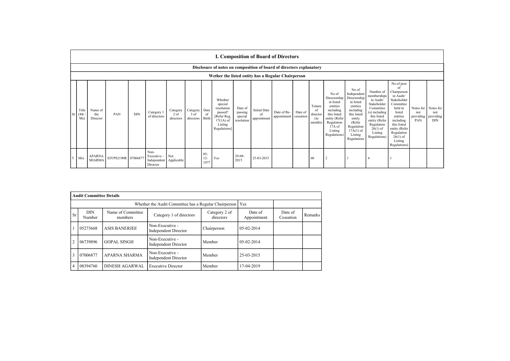|    | I. Composition of Board of Directors                                 |                                |                     |            |                                                |                               |                               |                         |                                                                                                      |                                             |                                          |                            |                      |                                            |                                                                                                                                                  |                                                                                                                                                                      |                                                                                                                                                                           |                                                                                                                                                                                                               |                                      |                                             |
|----|----------------------------------------------------------------------|--------------------------------|---------------------|------------|------------------------------------------------|-------------------------------|-------------------------------|-------------------------|------------------------------------------------------------------------------------------------------|---------------------------------------------|------------------------------------------|----------------------------|----------------------|--------------------------------------------|--------------------------------------------------------------------------------------------------------------------------------------------------|----------------------------------------------------------------------------------------------------------------------------------------------------------------------|---------------------------------------------------------------------------------------------------------------------------------------------------------------------------|---------------------------------------------------------------------------------------------------------------------------------------------------------------------------------------------------------------|--------------------------------------|---------------------------------------------|
|    | Disclosure of notes on composition of board of directors explanatory |                                |                     |            |                                                |                               |                               |                         |                                                                                                      |                                             |                                          |                            |                      |                                            |                                                                                                                                                  |                                                                                                                                                                      |                                                                                                                                                                           |                                                                                                                                                                                                               |                                      |                                             |
|    |                                                                      |                                |                     |            |                                                |                               |                               |                         | Wether the listed entity has a Regular Chairperson                                                   |                                             |                                          |                            |                      |                                            |                                                                                                                                                  |                                                                                                                                                                      |                                                                                                                                                                           |                                                                                                                                                                                                               |                                      |                                             |
| Sr | Title<br>(Mr)<br>Ms)                                                 | Name of<br>the<br>Director     | PAN                 | <b>DIN</b> | Category 1<br>of directors                     | Category<br>2 of<br>directors | Category<br>3 of<br>directors | Date<br>of<br>Birth     | Whether<br>special<br>resolution<br>passed?<br>[Refer Reg.<br>$17(1A)$ of<br>Listing<br>Regulations] | Date of<br>passing<br>special<br>resolution | <b>Initial Date</b><br>of<br>appointment | Date of Re-<br>appointment | Date of<br>cessation | Tenure<br>of<br>director<br>(in<br>months) | No of<br>Directorship<br>in listed<br>entities<br>including<br>this listed<br>entity (Refer<br>Regulation<br>$17A$ of<br>Listing<br>Regulations) | No of<br>Independent<br>Directorship<br>in listed<br>entities<br>including<br>this listed<br>entity<br>(Refer<br>Regulation<br>$17A(1)$ of<br>Listing<br>Regulations | Number of<br>memberships<br>in Audit/<br>Stakeholder<br>Committee<br>(s) including<br>this listed<br>entity (Refer<br>Regulation<br>$26(1)$ of<br>Listing<br>Regulations) | No of post<br>of<br>Chairperson<br>in Audit/<br>Stakeholder<br>Committee<br>held in<br>listed<br>entities<br>including<br>this listed<br>entity (Refer<br>Regulation<br>$26(1)$ of<br>Listing<br>Regulations) | Notes for<br>not<br>providing<br>PAN | Notes for<br>not<br>providing<br><b>DIN</b> |
|    | Mrs                                                                  | <b>APARNA</b><br><b>SHARMA</b> | EIYPS2190R 07006877 |            | Non-<br>Executive -<br>Independent<br>Director | Not<br>Applicable             |                               | $05 -$<br>$12-$<br>1977 | Yes                                                                                                  | $29-09-$<br>2015                            | 25-03-2015                               |                            |                      | 60                                         |                                                                                                                                                  |                                                                                                                                                                      |                                                                                                                                                                           |                                                                                                                                                                                                               |                                      |                                             |

|                | <b>Audit Committee Details</b> |                              |                                                |                            |                        |                      |         |  |  |
|----------------|--------------------------------|------------------------------|------------------------------------------------|----------------------------|------------------------|----------------------|---------|--|--|
|                |                                |                              |                                                |                            |                        |                      |         |  |  |
| <b>Sr</b>      | <b>DIN</b><br>Number           | Name of Committee<br>members | Category 1 of directors                        | Category 2 of<br>directors | Date of<br>Appointment | Date of<br>Cessation | Remarks |  |  |
|                | 05273668                       | <b>ASIS BANERJEE</b>         | Non-Executive -<br><b>Independent Director</b> | Chairperson                | $05-02-2014$           |                      |         |  |  |
| $\overline{2}$ | 06739896                       | <b>GOPAL SINGH</b>           | Non-Executive -<br><b>Independent Director</b> | Member                     | 05-02-2014             |                      |         |  |  |
| 3              | 07006877                       | <b>APARNA SHARMA</b>         | Non-Executive -<br><b>Independent Director</b> | Member                     | 25-03-2015             |                      |         |  |  |
| 4              | 08394760                       | <b>DINESH AGARWAL</b>        | <b>Executive Director</b>                      | Member                     | 17-04-2019             |                      |         |  |  |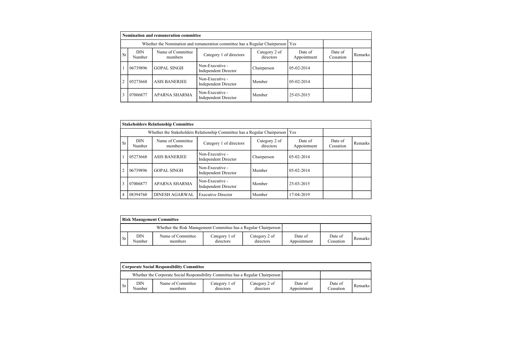|                | Nomination and remuneration committee |                                                                             |                                                |                            |                        |                      |         |  |  |
|----------------|---------------------------------------|-----------------------------------------------------------------------------|------------------------------------------------|----------------------------|------------------------|----------------------|---------|--|--|
|                |                                       | Whether the Nomination and remuneration committee has a Regular Chairperson |                                                | l Yes                      |                        |                      |         |  |  |
| <b>Sr</b>      | <b>DIN</b><br>Number                  | Name of Committee<br>members                                                | Category 1 of directors                        | Category 2 of<br>directors | Date of<br>Appointment | Date of<br>Cessation | Remarks |  |  |
|                | 06739896                              | <b>GOPAL SINGH</b>                                                          | Non-Executive -<br><b>Independent Director</b> | Chairperson                | $05-02-2014$           |                      |         |  |  |
| $\overline{2}$ | 05273668                              | <b>ASIS BANERJEE</b>                                                        | Non-Executive -<br><b>Independent Director</b> | Member                     | $05-02-2014$           |                      |         |  |  |
| 3              | 07006877                              | APARNA SHARMA                                                               | Non-Executive -<br><b>Independent Director</b> | Member                     | 25-03-2015             |                      |         |  |  |

|                | <b>Stakeholders Relationship Committee</b>                                |                              |                                                |                            |                        |                      |         |  |
|----------------|---------------------------------------------------------------------------|------------------------------|------------------------------------------------|----------------------------|------------------------|----------------------|---------|--|
|                | Whether the Stakeholders Relationship Committee has a Regular Chairperson |                              |                                                |                            |                        |                      |         |  |
| <b>Sr</b>      | <b>DIN</b><br>Number                                                      | Name of Committee<br>members | Category 1 of directors                        | Category 2 of<br>directors | Date of<br>Appointment | Date of<br>Cessation | Remarks |  |
|                | 05273668                                                                  | <b>ASIS BANERJEE</b>         | Non-Executive -<br><b>Independent Director</b> | Chairperson                | $05-02-2014$           |                      |         |  |
| $\overline{2}$ | 06739896                                                                  | <b>GOPAL SINGH</b>           | Non-Executive -<br><b>Independent Director</b> | Member                     | $05-02-2014$           |                      |         |  |
| 3              | 07006877                                                                  | <b>APARNA SHARMA</b>         | Non-Executive -<br><b>Independent Director</b> | Member                     | 25-03-2015             |                      |         |  |
| 4              | 08394760                                                                  | <b>DINESH AGARWAL</b>        | <b>Executive Director</b>                      | Member                     | 17-04-2019             |                      |         |  |

|     | <b>Risk Management Committee</b> |                                                                 |                            |                            |                        |                      |         |  |  |
|-----|----------------------------------|-----------------------------------------------------------------|----------------------------|----------------------------|------------------------|----------------------|---------|--|--|
|     |                                  | Whether the Risk Management Committee has a Regular Chairperson |                            |                            |                        |                      |         |  |  |
| -Sr | DIN<br>Number                    | Name of Committee<br>members                                    | Category 1 of<br>directors | Category 2 of<br>directors | Date of<br>Appointment | Date of<br>Cessation | Remarks |  |  |

|     | <b>Corporate Social Responsibility Committee</b> |                                                                                 |                            |                            |                        |                      |         |  |  |
|-----|--------------------------------------------------|---------------------------------------------------------------------------------|----------------------------|----------------------------|------------------------|----------------------|---------|--|--|
|     |                                                  | Whether the Corporate Social Responsibility Committee has a Regular Chairperson |                            |                            |                        |                      |         |  |  |
| -Sr | DIN<br>Number                                    | Name of Committee<br>members                                                    | Category 1 of<br>directors | Category 2 of<br>directors | Date of<br>Appointment | Date of<br>Cessation | Remarks |  |  |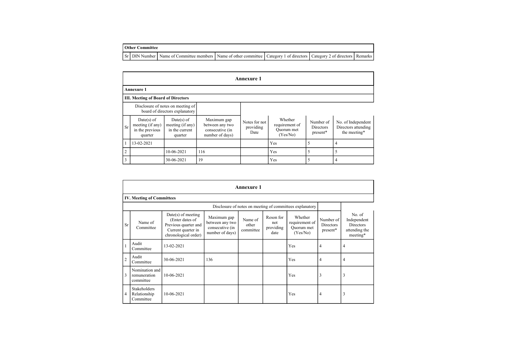| <b>Other Committee</b> |  |  |
|------------------------|--|--|
|------------------------|--|--|

F

Sr DIN Number Name of Committee members Name of other committee Category 1 of directors Category 2 of directors Remarks

|                | <b>Annexure 1</b>                                            |                                                                     |                                                                      |                                    |                                                     |                                    |                                                           |  |  |
|----------------|--------------------------------------------------------------|---------------------------------------------------------------------|----------------------------------------------------------------------|------------------------------------|-----------------------------------------------------|------------------------------------|-----------------------------------------------------------|--|--|
|                | <b>Annexure 1</b>                                            |                                                                     |                                                                      |                                    |                                                     |                                    |                                                           |  |  |
|                | <b>III. Meeting of Board of Directors</b>                    |                                                                     |                                                                      |                                    |                                                     |                                    |                                                           |  |  |
|                |                                                              | Disclosure of notes on meeting of<br>board of directors explanatory |                                                                      |                                    |                                                     |                                    |                                                           |  |  |
| <b>Sr</b>      | Date(s) of<br>meeting (if any)<br>in the previous<br>quarter | Date(s) of<br>meeting (if any)<br>in the current<br>quarter         | Maximum gap<br>between any two<br>consecutive (in<br>number of days) | Notes for not<br>providing<br>Date | Whether<br>requirement of<br>Ouorum met<br>(Yes/No) | Number of<br>Directors<br>present* | No. of Independent<br>Directors attending<br>the meeting* |  |  |
|                | 13-02-2021                                                   |                                                                     |                                                                      |                                    | Yes                                                 |                                    |                                                           |  |  |
| $\overline{c}$ |                                                              | 10-06-2021                                                          | 116                                                                  |                                    | Yes                                                 |                                    |                                                           |  |  |
| 3              |                                                              | 30-06-2021                                                          | 19                                                                   |                                    | Yes                                                 |                                    | 4                                                         |  |  |

|                | <b>Annexure 1</b>                           |                                                                                                               |                                                                      |                               |                                       |                                                     |                                    |                                                                 |  |
|----------------|---------------------------------------------|---------------------------------------------------------------------------------------------------------------|----------------------------------------------------------------------|-------------------------------|---------------------------------------|-----------------------------------------------------|------------------------------------|-----------------------------------------------------------------|--|
|                | <b>IV. Meeting of Committees</b>            |                                                                                                               |                                                                      |                               |                                       |                                                     |                                    |                                                                 |  |
|                |                                             |                                                                                                               |                                                                      |                               |                                       |                                                     |                                    |                                                                 |  |
| <b>Sr</b>      | Name of<br>Committee                        | $Date(s)$ of meeting<br>(Enter dates of<br>Previous quarter and<br>Current quarter in<br>chronological order) | Maximum gap<br>between any two<br>consecutive (in<br>number of days) | Name of<br>other<br>committee | Reson for<br>not<br>providing<br>date | Whether<br>requirement of<br>Quorum met<br>(Yes/No) | Number of<br>Directors<br>present* | No. of<br>Independent<br>Directors<br>attending the<br>meeting* |  |
|                | Audit<br>Committee                          | 13-02-2021                                                                                                    |                                                                      |                               |                                       | Yes                                                 | 4                                  | 4                                                               |  |
| $\overline{2}$ | Audit<br>Committee                          | 30-06-2021                                                                                                    | 136                                                                  |                               |                                       | Yes                                                 | 4                                  | $\overline{4}$                                                  |  |
| 3              | Nomination and<br>remuneration<br>committee | 10-06-2021                                                                                                    |                                                                      |                               |                                       | Yes                                                 | 3                                  | 3                                                               |  |
| $\overline{4}$ | Stakeholders<br>Relationship<br>Committee   | 10-06-2021                                                                                                    |                                                                      |                               |                                       | Yes                                                 | 4                                  | $\overline{3}$                                                  |  |